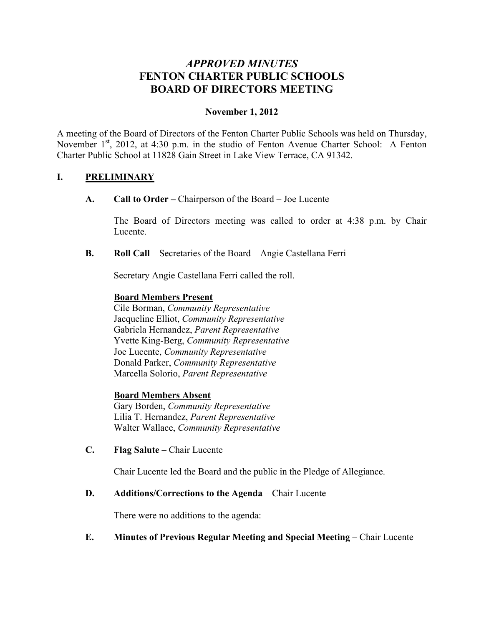# *APPROVED MINUTES* **FENTON CHARTER PUBLIC SCHOOLS BOARD OF DIRECTORS MEETING**

# **November 1, 2012**

A meeting of the Board of Directors of the Fenton Charter Public Schools was held on Thursday, November  $1<sup>st</sup>$ , 2012, at 4:30 p.m. in the studio of Fenton Avenue Charter School: A Fenton Charter Public School at 11828 Gain Street in Lake View Terrace, CA 91342.

#### **I. PRELIMINARY**

**A. Call to Order –** Chairperson of the Board – Joe Lucente

The Board of Directors meeting was called to order at 4:38 p.m. by Chair Lucente.

**B. Roll Call** – Secretaries of the Board – Angie Castellana Ferri

Secretary Angie Castellana Ferri called the roll.

#### **Board Members Present**

Cile Borman, *Community Representative* Jacqueline Elliot, *Community Representative* Gabriela Hernandez, *Parent Representative* Yvette King-Berg, *Community Representative* Joe Lucente, *Community Representative* Donald Parker, *Community Representative* Marcella Solorio, *Parent Representative*

#### **Board Members Absent**

Gary Borden, *Community Representative* Lilia T. Hernandez, *Parent Representative* Walter Wallace, *Community Representative*

**C. Flag Salute** – Chair Lucente

Chair Lucente led the Board and the public in the Pledge of Allegiance.

#### **D. Additions/Corrections to the Agenda** – Chair Lucente

There were no additions to the agenda:

# **E. Minutes of Previous Regular Meeting and Special Meeting** – Chair Lucente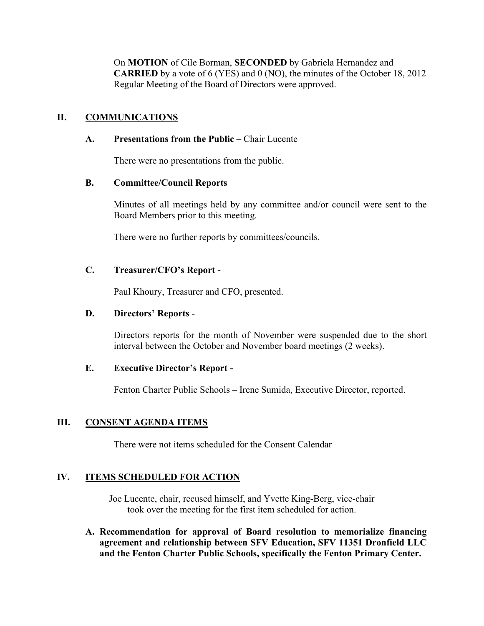On **MOTION** of Cile Borman, **SECONDED** by Gabriela Hernandez and **CARRIED** by a vote of 6 (YES) and 0 (NO), the minutes of the October 18, 2012 Regular Meeting of the Board of Directors were approved.

# **II. COMMUNICATIONS**

#### **A. Presentations from the Public** – Chair Lucente

There were no presentations from the public.

#### **B. Committee/Council Reports**

Minutes of all meetings held by any committee and/or council were sent to the Board Members prior to this meeting.

There were no further reports by committees/councils.

# **C. Treasurer/CFO's Report -**

Paul Khoury, Treasurer and CFO, presented.

#### **D. Directors' Reports** -

Directors reports for the month of November were suspended due to the short interval between the October and November board meetings (2 weeks).

#### **E. Executive Director's Report -**

Fenton Charter Public Schools – Irene Sumida, Executive Director, reported.

# **III. CONSENT AGENDA ITEMS**

There were not items scheduled for the Consent Calendar

# **IV. ITEMS SCHEDULED FOR ACTION**

Joe Lucente, chair, recused himself, and Yvette King-Berg, vice-chair took over the meeting for the first item scheduled for action.

**A. Recommendation for approval of Board resolution to memorialize financing agreement and relationship between SFV Education, SFV 11351 Dronfield LLC and the Fenton Charter Public Schools, specifically the Fenton Primary Center.**